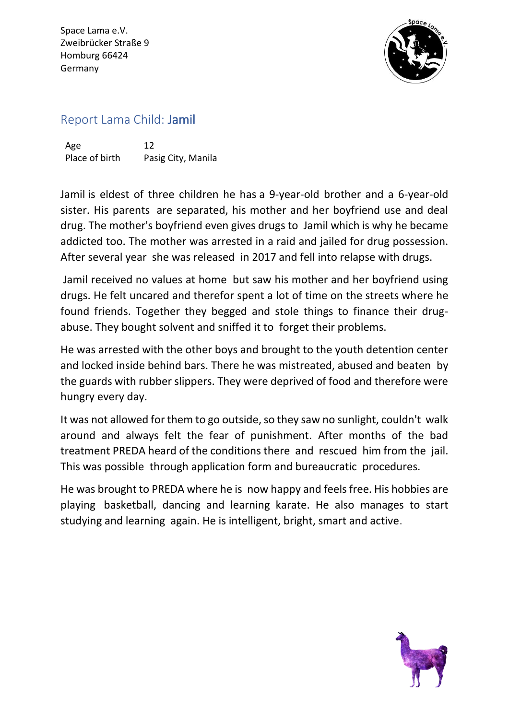Space Lama e.V. Zweibrücker Straße 9 Homburg 66424 Germany



## Report Lama Child: Jamil

Age 12 Place of birth Pasig City, Manila

Jamil is eldest of three children he has a 9-year-old brother and a 6-year-old sister. His parents are separated, his mother and her boyfriend use and deal drug. The mother's boyfriend even gives drugs to Jamil which is why he became addicted too. The mother was arrested in a raid and jailed for drug possession. After several year she was released in 2017 and fell into relapse with drugs.

Jamil received no values at home but saw his mother and her boyfriend using drugs. He felt uncared and therefor spent a lot of time on the streets where he found friends. Together they begged and stole things to finance their drugabuse. They bought solvent and sniffed it to forget their problems.

He was arrested with the other boys and brought to the youth detention center and locked inside behind bars. There he was mistreated, abused and beaten by the guards with rubber slippers. They were deprived of food and therefore were hungry every day.

It was not allowed for them to go outside, so they saw no sunlight, couldn't walk around and always felt the fear of punishment. After months of the bad treatment PREDA heard of the conditions there and rescued him from the jail. This was possible through application form and bureaucratic procedures.

He was brought to PREDA where he is now happy and feels free. His hobbies are playing basketball, dancing and learning karate. He also manages to start studying and learning again. He is intelligent, bright, smart and active.